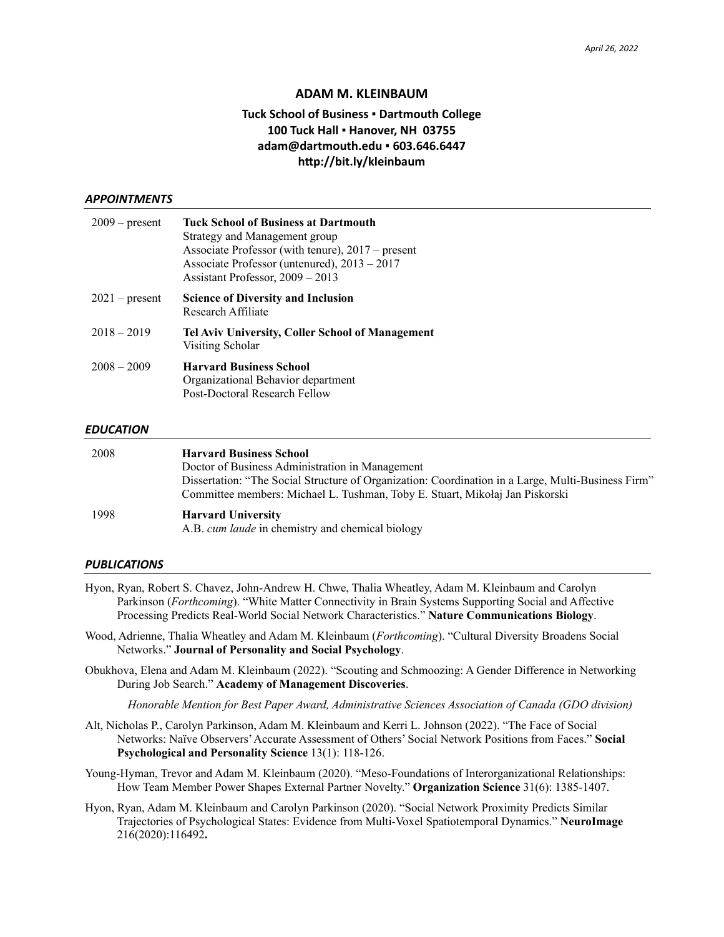### **ADAM M. KLEINBAUM**

# **Tuck School of Business ▪ Dartmouth College 100 Tuck Hall ▪ Hanover, NH 03755 adam@dartmouth.edu ▪ 603.646.6447 http://bit.ly/kleinbaum**

#### *APPOINTMENTS*

| $2009$ – present | <b>Tuck School of Business at Dartmouth</b><br>Strategy and Management group<br>Associate Professor (with tenure), 2017 – present<br>Associate Professor (untenured), $2013 - 2017$<br>Assistant Professor, 2009 – 2013 |
|------------------|-------------------------------------------------------------------------------------------------------------------------------------------------------------------------------------------------------------------------|
| $2021$ – present | <b>Science of Diversity and Inclusion</b><br>Research Affiliate                                                                                                                                                         |
| $2018 - 2019$    | Tel Aviv University, Coller School of Management<br>Visiting Scholar                                                                                                                                                    |
| $2008 - 2009$    | <b>Harvard Business School</b><br>Organizational Behavior department<br>Post-Doctoral Research Fellow                                                                                                                   |

#### *EDUCATION*

| 2008 | <b>Harvard Business School</b>                                                                     |  |  |
|------|----------------------------------------------------------------------------------------------------|--|--|
|      | Doctor of Business Administration in Management                                                    |  |  |
|      | Dissertation: "The Social Structure of Organization: Coordination in a Large, Multi-Business Firm" |  |  |
|      | Committee members: Michael L. Tushman, Toby E. Stuart, Mikołaj Jan Piskorski                       |  |  |
| 1998 | <b>Harvard University</b>                                                                          |  |  |
|      | A.B. cum laude in chemistry and chemical biology                                                   |  |  |

#### *PUBLICATIONS*

- Hyon, Ryan, Robert S. Chavez, John-Andrew H. Chwe, Thalia Wheatley, Adam M. Kleinbaum and Carolyn Parkinson (*Forthcoming*). "White Matter Connectivity in Brain Systems Supporting Social and Affective Processing Predicts Real-World Social Network Characteristics." **Nature Communications Biology**.
- Wood, Adrienne, Thalia Wheatley and Adam M. Kleinbaum (*Forthcoming*). "Cultural Diversity Broadens Social Networks." **Journal of Personality and Social Psychology**.
- Obukhova, Elena and Adam M. Kleinbaum (2022). "Scouting and Schmoozing: A Gender Difference in Networking During Job Search." **Academy of Management Discoveries**.

*Honorable Mention for Best Paper Award, Administrative Sciences Association of Canada (GDO division)*

Alt, Nicholas P., Carolyn Parkinson, Adam M. Kleinbaum and Kerri L. Johnson (2022). "The Face of Social Networks: Naïve Observers' Accurate Assessment of Others' Social Network Positions from Faces." **Social Psychological and Personality Science** 13(1): 118-126.

Young-Hyman, Trevor and Adam M. Kleinbaum (2020). "Meso-Foundations of Interorganizational Relationships: How Team Member Power Shapes External Partner Novelty." **Organization Science** 31(6): 1385-1407.

Hyon, Ryan, Adam M. Kleinbaum and Carolyn Parkinson (2020). "Social Network Proximity Predicts Similar Trajectories of Psychological States: Evidence from Multi-Voxel Spatiotemporal Dynamics." **NeuroImage** 216(2020):116492**.**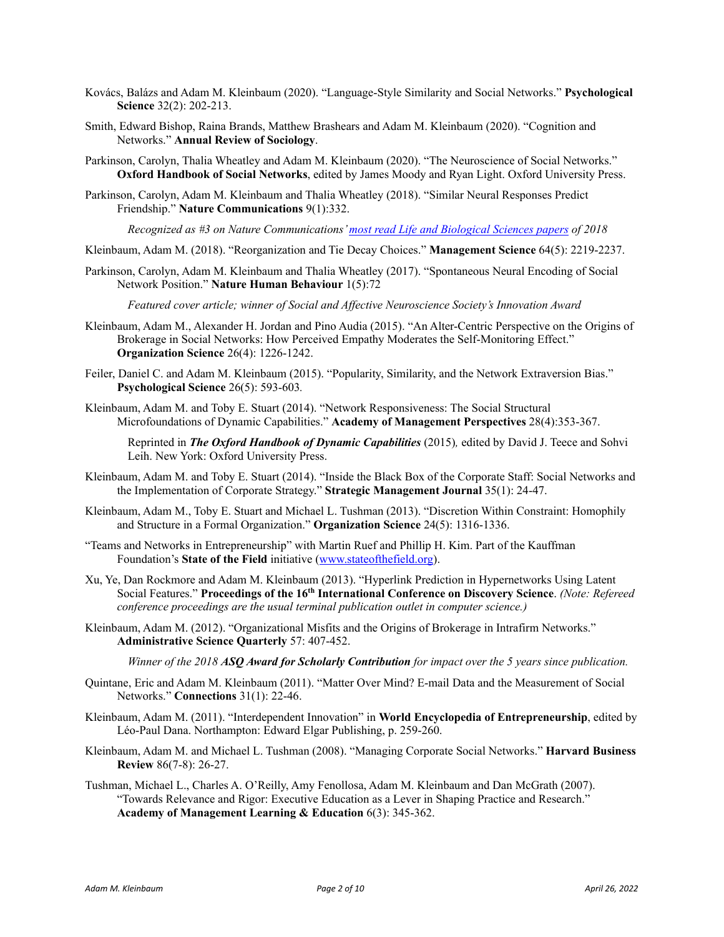- Kovács, Balázs and Adam M. Kleinbaum (2020). "Language-Style Similarity and Social Networks." **Psychological Science** 32(2): 202-213.
- Smith, Edward Bishop, Raina Brands, Matthew Brashears and Adam M. Kleinbaum (2020). "Cognition and Networks." **Annual Review of Sociology**.
- Parkinson, Carolyn, Thalia Wheatley and Adam M. Kleinbaum (2020). "The Neuroscience of Social Networks." **Oxford Handbook of Social Networks**, edited by James Moody and Ryan Light. Oxford University Press.
- Parkinson, Carolyn, Adam M. Kleinbaum and Thalia Wheatley (2018). "Similar Neural Responses Predict Friendship." **Nature Communications** 9(1):332.

*Recognized as #3 on Nature Communications[' most read Life and Biological Sciences papers](https://www.nature.com/collections/iggbijbbbb) of 2018*

- Kleinbaum, Adam M. (2018). "Reorganization and Tie Decay Choices." **Management Science** 64(5): 2219-2237.
- Parkinson, Carolyn, Adam M. Kleinbaum and Thalia Wheatley (2017). "Spontaneous Neural Encoding of Social Network Position." **Nature Human Behaviour** 1(5):72

*Featured cover article; winner of Social and Affective Neuroscience Society's Innovation Award*

- Kleinbaum, Adam M., Alexander H. Jordan and Pino Audia (2015). "An Alter-Centric Perspective on the Origins of Brokerage in Social Networks: How Perceived Empathy Moderates the Self-Monitoring Effect." **Organization Science** 26(4): 1226-1242.
- Feiler, Daniel C. and Adam M. Kleinbaum (2015). "Popularity, Similarity, and the Network Extraversion Bias." **Psychological Science** 26(5): 593-603*.*
- Kleinbaum, Adam M. and Toby E. Stuart (2014). "Network Responsiveness: The Social Structural Microfoundations of Dynamic Capabilities." **Academy of Management Perspectives** 28(4):353-367.

Reprinted in *The Oxford Handbook of Dynamic Capabilities* (2015)*,* edited by David J. Teece and Sohvi Leih. New York: Oxford University Press.

- Kleinbaum, Adam M. and Toby E. Stuart (2014). "Inside the Black Box of the Corporate Staff: Social Networks and the Implementation of Corporate Strategy." **Strategic Management Journal** 35(1): 24-47.
- Kleinbaum, Adam M., Toby E. Stuart and Michael L. Tushman (2013). "Discretion Within Constraint: Homophily and Structure in a Formal Organization." **Organization Science** 24(5): 1316-1336.
- "Teams and Networks in Entrepreneurship" with Martin Ruef and Phillip H. Kim. Part of the Kauffman Foundation's **State of the Field** initiative [\(www.stateofthefield.org\)](http://www.stateofthefield.org/).
- Xu, Ye, Dan Rockmore and Adam M. Kleinbaum (2013). "Hyperlink Prediction in Hypernetworks Using Latent Social Features." **Proceedings of the 16th International Conference on Discovery Science**. *(Note: Refereed conference proceedings are the usual terminal publication outlet in computer science.)*
- Kleinbaum, Adam M. (2012). "Organizational Misfits and the Origins of Brokerage in Intrafirm Networks." **Administrative Science Quarterly** 57: 407-452.

*Winner of the 2018 ASQ Award for Scholarly Contribution for impact over the 5 years since publication.*

- Quintane, Eric and Adam M. Kleinbaum (2011). "Matter Over Mind? E-mail Data and the Measurement of Social Networks." **Connections** 31(1): 22-46.
- Kleinbaum, Adam M. (2011). "Interdependent Innovation" in **World Encyclopedia of Entrepreneurship**, edited by Léo-Paul Dana. Northampton: Edward Elgar Publishing, p. 259-260.
- Kleinbaum, Adam M. and Michael L. Tushman (2008). "Managing Corporate Social Networks." **Harvard Business Review** 86(7-8): 26-27.
- Tushman, Michael L., Charles A. O'Reilly, Amy Fenollosa, Adam M. Kleinbaum and Dan McGrath (2007). "Towards Relevance and Rigor: Executive Education as a Lever in Shaping Practice and Research." **Academy of Management Learning & Education** 6(3): 345-362.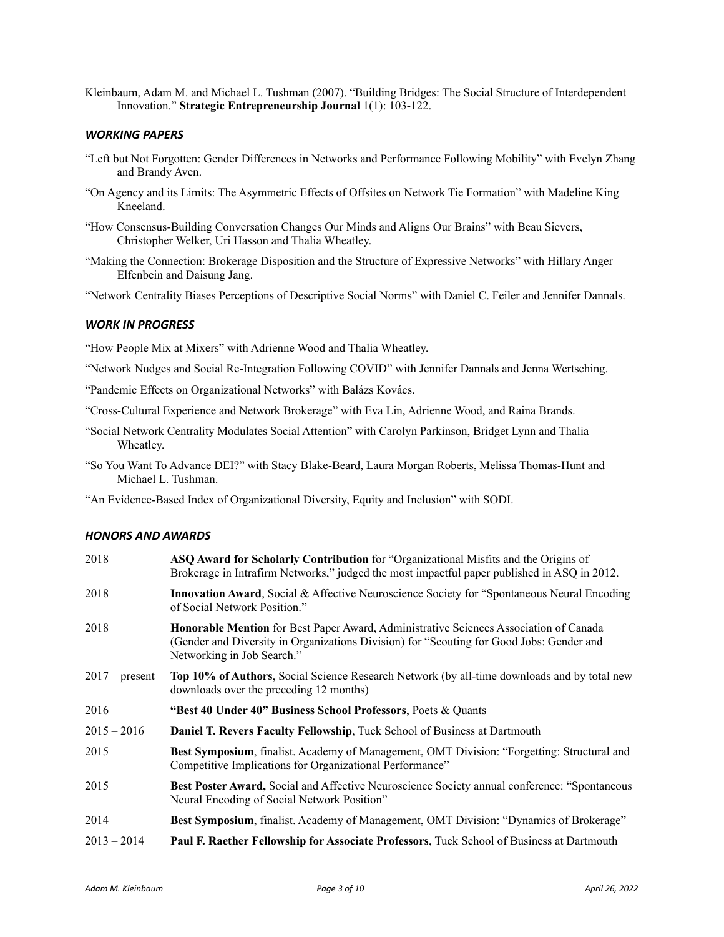Kleinbaum, Adam M. and Michael L. Tushman (2007). "Building Bridges: The Social Structure of Interdependent Innovation." **Strategic Entrepreneurship Journal** 1(1): 103-122.

#### *WORKING PAPERS*

- "Left but Not Forgotten: Gender Differences in Networks and Performance Following Mobility" with Evelyn Zhang and Brandy Aven.
- "On Agency and its Limits: The Asymmetric Effects of Offsites on Network Tie Formation" with Madeline King Kneeland.
- "How Consensus-Building Conversation Changes Our Minds and Aligns Our Brains" with Beau Sievers, Christopher Welker, Uri Hasson and Thalia Wheatley.
- "Making the Connection: Brokerage Disposition and the Structure of Expressive Networks" with Hillary Anger Elfenbein and Daisung Jang.

"Network Centrality Biases Perceptions of Descriptive Social Norms" with Daniel C. Feiler and Jennifer Dannals.

### *WORK IN PROGRESS*

"How People Mix at Mixers" with Adrienne Wood and Thalia Wheatley.

- "Network Nudges and Social Re-Integration Following COVID" with Jennifer Dannals and Jenna Wertsching.
- "Pandemic Effects on Organizational Networks" with Balázs Kovács.

"Cross-Cultural Experience and Network Brokerage" with Eva Lin, Adrienne Wood, and Raina Brands.

- "Social Network Centrality Modulates Social Attention" with Carolyn Parkinson, Bridget Lynn and Thalia Wheatley.
- "So You Want To Advance DEI?" with Stacy Blake-Beard, Laura Morgan Roberts, Melissa Thomas-Hunt and Michael L. Tushman.

"An Evidence-Based Index of Organizational Diversity, Equity and Inclusion" with SODI.

#### *HONORS AND AWARDS*

| 2018             | ASQ Award for Scholarly Contribution for "Organizational Misfits and the Origins of<br>Brokerage in Intrafirm Networks," judged the most impactful paper published in ASQ in 2012.                              |
|------------------|-----------------------------------------------------------------------------------------------------------------------------------------------------------------------------------------------------------------|
| 2018             | <b>Innovation Award, Social &amp; Affective Neuroscience Society for "Spontaneous Neural Encoding</b><br>of Social Network Position."                                                                           |
| 2018             | Honorable Mention for Best Paper Award, Administrative Sciences Association of Canada<br>(Gender and Diversity in Organizations Division) for "Scouting for Good Jobs: Gender and<br>Networking in Job Search." |
| $2017$ – present | Top 10% of Authors, Social Science Research Network (by all-time downloads and by total new<br>downloads over the preceding 12 months)                                                                          |
| 2016             | "Best 40 Under 40" Business School Professors, Poets & Quants                                                                                                                                                   |
| $2015 - 2016$    | <b>Daniel T. Revers Faculty Fellowship, Tuck School of Business at Dartmouth</b>                                                                                                                                |
| 2015             | Best Symposium, finalist. Academy of Management, OMT Division: "Forgetting: Structural and<br>Competitive Implications for Organizational Performance"                                                          |
| 2015             | Best Poster Award, Social and Affective Neuroscience Society annual conference: "Spontaneous<br>Neural Encoding of Social Network Position"                                                                     |
| 2014             | Best Symposium, finalist. Academy of Management, OMT Division: "Dynamics of Brokerage"                                                                                                                          |
| $2013 - 2014$    | Paul F. Raether Fellowship for Associate Professors, Tuck School of Business at Dartmouth                                                                                                                       |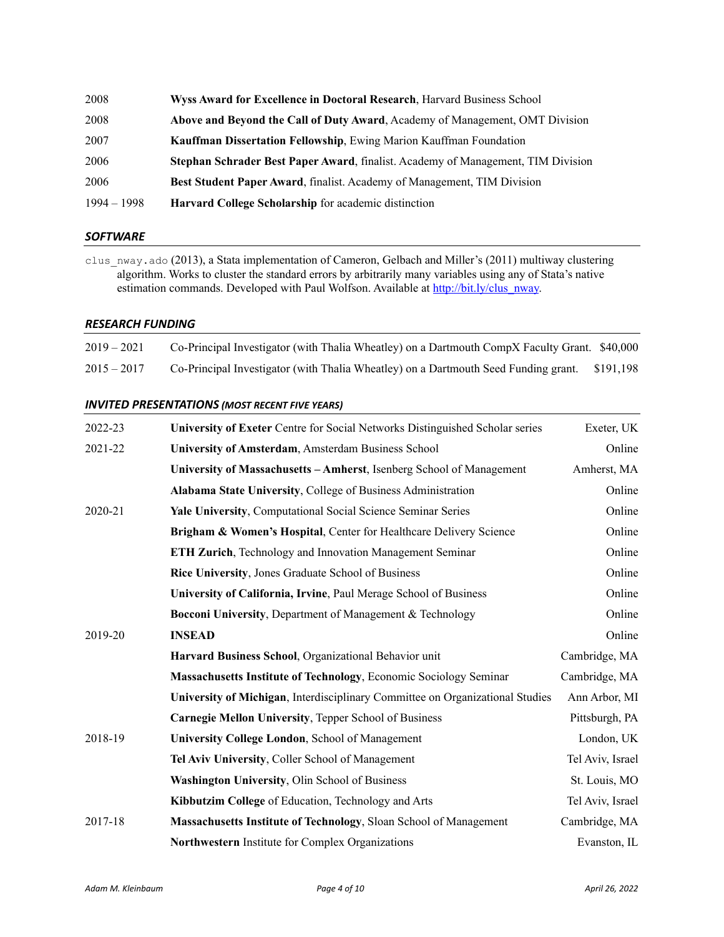| 2008          | Wyss Award for Excellence in Doctoral Research, Harvard Business School          |
|---------------|----------------------------------------------------------------------------------|
| 2008          | Above and Beyond the Call of Duty Award, Academy of Management, OMT Division     |
| 2007          | <b>Kauffman Dissertation Fellowship, Ewing Marion Kauffman Foundation</b>        |
| 2006          | Stephan Schrader Best Paper Award, finalist. Academy of Management, TIM Division |
| 2006          | <b>Best Student Paper Award, finalist. Academy of Management, TIM Division</b>   |
| $1994 - 1998$ | Harvard College Scholarship for academic distinction                             |

### *SOFTWARE*

clus\_nway.ado (2013), a Stata implementation of Cameron, Gelbach and Miller's (2011) multiway clustering algorithm. Works to cluster the standard errors by arbitrarily many variables using any of Stata's native estimation commands. Developed with Paul Wolfson. Available at [http://bit.ly/clus\\_nway.](http://bit.ly/clus_nway)

### *RESEARCH FUNDING*

| $2019 - 2021$ | Co-Principal Investigator (with Thalia Wheatley) on a Dartmouth CompX Faculty Grant. \$40,000 |  |
|---------------|-----------------------------------------------------------------------------------------------|--|
| $2015 - 2017$ | Co-Principal Investigator (with Thalia Wheatley) on a Dartmouth Seed Funding grant. \$191,198 |  |

## *INVITED PRESENTATIONS (MOST RECENT FIVE YEARS)*

| 2022-23 | University of Exeter Centre for Social Networks Distinguished Scholar series  | Exeter, UK       |
|---------|-------------------------------------------------------------------------------|------------------|
| 2021-22 | University of Amsterdam, Amsterdam Business School                            | Online           |
|         | University of Massachusetts - Amherst, Isenberg School of Management          | Amherst, MA      |
|         | Alabama State University, College of Business Administration                  | Online           |
| 2020-21 | Yale University, Computational Social Science Seminar Series                  | Online           |
|         | Brigham & Women's Hospital, Center for Healthcare Delivery Science            | Online           |
|         | ETH Zurich, Technology and Innovation Management Seminar                      | Online           |
|         | Rice University, Jones Graduate School of Business                            | Online           |
|         | University of California, Irvine, Paul Merage School of Business              | Online           |
|         | Bocconi University, Department of Management & Technology                     | Online           |
| 2019-20 | <b>INSEAD</b>                                                                 | Online           |
|         | Harvard Business School, Organizational Behavior unit                         | Cambridge, MA    |
|         | Massachusetts Institute of Technology, Economic Sociology Seminar             | Cambridge, MA    |
|         | University of Michigan, Interdisciplinary Committee on Organizational Studies | Ann Arbor, MI    |
|         | Carnegie Mellon University, Tepper School of Business                         | Pittsburgh, PA   |
| 2018-19 | University College London, School of Management                               | London, UK       |
|         | Tel Aviv University, Coller School of Management                              | Tel Aviv, Israel |
|         | Washington University, Olin School of Business                                | St. Louis, MO    |
|         | Kibbutzim College of Education, Technology and Arts                           | Tel Aviv, Israel |
| 2017-18 | Massachusetts Institute of Technology, Sloan School of Management             | Cambridge, MA    |
|         | Northwestern Institute for Complex Organizations                              | Evanston, IL     |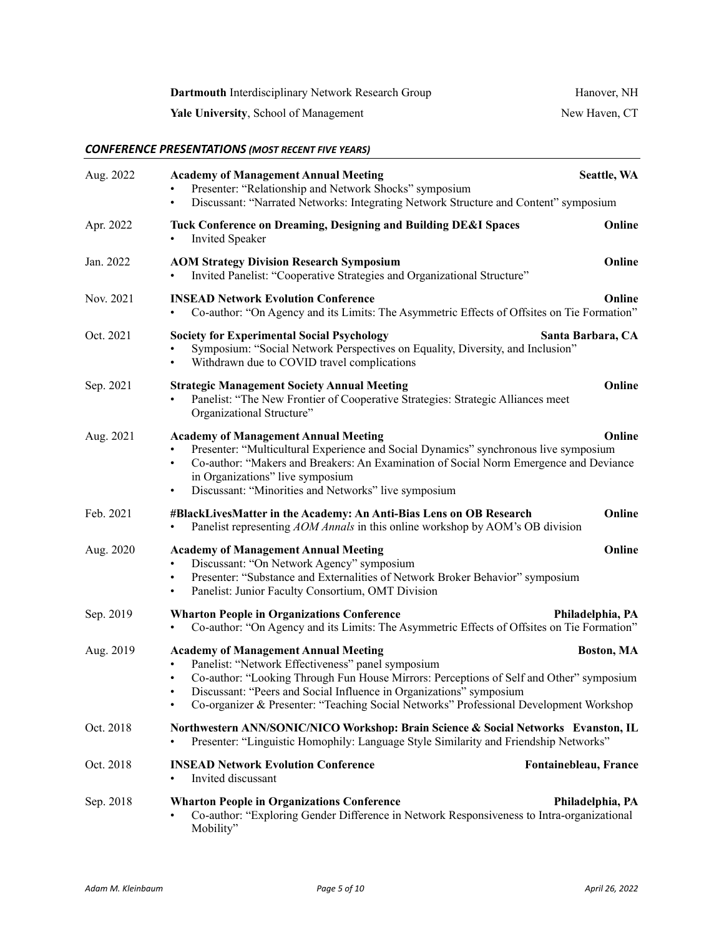| Dartmouth Interdisciplinary Network Research Group | Hanover, NH   |
|----------------------------------------------------|---------------|
| <b>Yale University, School of Management</b>       | New Haven, CT |

# *CONFERENCE PRESENTATIONS (MOST RECENT FIVE YEARS)*

| Aug. 2022 | <b>Academy of Management Annual Meeting</b><br>Seattle, WA<br>Presenter: "Relationship and Network Shocks" symposium<br>Discussant: "Narrated Networks: Integrating Network Structure and Content" symposium<br>$\bullet$                                                                                                                                                         |  |
|-----------|-----------------------------------------------------------------------------------------------------------------------------------------------------------------------------------------------------------------------------------------------------------------------------------------------------------------------------------------------------------------------------------|--|
| Apr. 2022 | Tuck Conference on Dreaming, Designing and Building DE&I Spaces<br>Online<br><b>Invited Speaker</b>                                                                                                                                                                                                                                                                               |  |
| Jan. 2022 | Online<br><b>AOM Strategy Division Research Symposium</b><br>Invited Panelist: "Cooperative Strategies and Organizational Structure"                                                                                                                                                                                                                                              |  |
| Nov. 2021 | <b>INSEAD Network Evolution Conference</b><br>Online<br>Co-author: "On Agency and its Limits: The Asymmetric Effects of Offsites on Tie Formation"                                                                                                                                                                                                                                |  |
| Oct. 2021 | <b>Society for Experimental Social Psychology</b><br>Santa Barbara, CA<br>Symposium: "Social Network Perspectives on Equality, Diversity, and Inclusion"<br>Withdrawn due to COVID travel complications<br>$\bullet$                                                                                                                                                              |  |
| Sep. 2021 | Online<br><b>Strategic Management Society Annual Meeting</b><br>Panelist: "The New Frontier of Cooperative Strategies: Strategic Alliances meet<br>Organizational Structure"                                                                                                                                                                                                      |  |
| Aug. 2021 | Online<br><b>Academy of Management Annual Meeting</b><br>Presenter: "Multicultural Experience and Social Dynamics" synchronous live symposium<br>Co-author: "Makers and Breakers: An Examination of Social Norm Emergence and Deviance<br>$\bullet$<br>in Organizations" live symposium<br>Discussant: "Minorities and Networks" live symposium<br>$\bullet$                      |  |
| Feb. 2021 | Online<br>#BlackLivesMatter in the Academy: An Anti-Bias Lens on OB Research<br>Panelist representing AOM Annals in this online workshop by AOM's OB division<br>$\bullet$                                                                                                                                                                                                        |  |
| Aug. 2020 | Online<br><b>Academy of Management Annual Meeting</b><br>Discussant: "On Network Agency" symposium<br>Presenter: "Substance and Externalities of Network Broker Behavior" symposium<br>$\bullet$<br>Panelist: Junior Faculty Consortium, OMT Division<br>٠                                                                                                                        |  |
| Sep. 2019 | <b>Wharton People in Organizations Conference</b><br>Philadelphia, PA<br>Co-author: "On Agency and its Limits: The Asymmetric Effects of Offsites on Tie Formation"<br>$\bullet$                                                                                                                                                                                                  |  |
| Aug. 2019 | <b>Academy of Management Annual Meeting</b><br><b>Boston, MA</b><br>Panelist: "Network Effectiveness" panel symposium<br>Co-author: "Looking Through Fun House Mirrors: Perceptions of Self and Other" symposium<br>Discussant: "Peers and Social Influence in Organizations" symposium<br>Co-organizer & Presenter: "Teaching Social Networks" Professional Development Workshop |  |
| Oct. 2018 | Northwestern ANN/SONIC/NICO Workshop: Brain Science & Social Networks Evanston, IL<br>Presenter: "Linguistic Homophily: Language Style Similarity and Friendship Networks"                                                                                                                                                                                                        |  |
| Oct. 2018 | <b>INSEAD Network Evolution Conference</b><br>Fontainebleau, France<br>Invited discussant                                                                                                                                                                                                                                                                                         |  |
| Sep. 2018 | <b>Wharton People in Organizations Conference</b><br>Philadelphia, PA<br>Co-author: "Exploring Gender Difference in Network Responsiveness to Intra-organizational<br>Mobility"                                                                                                                                                                                                   |  |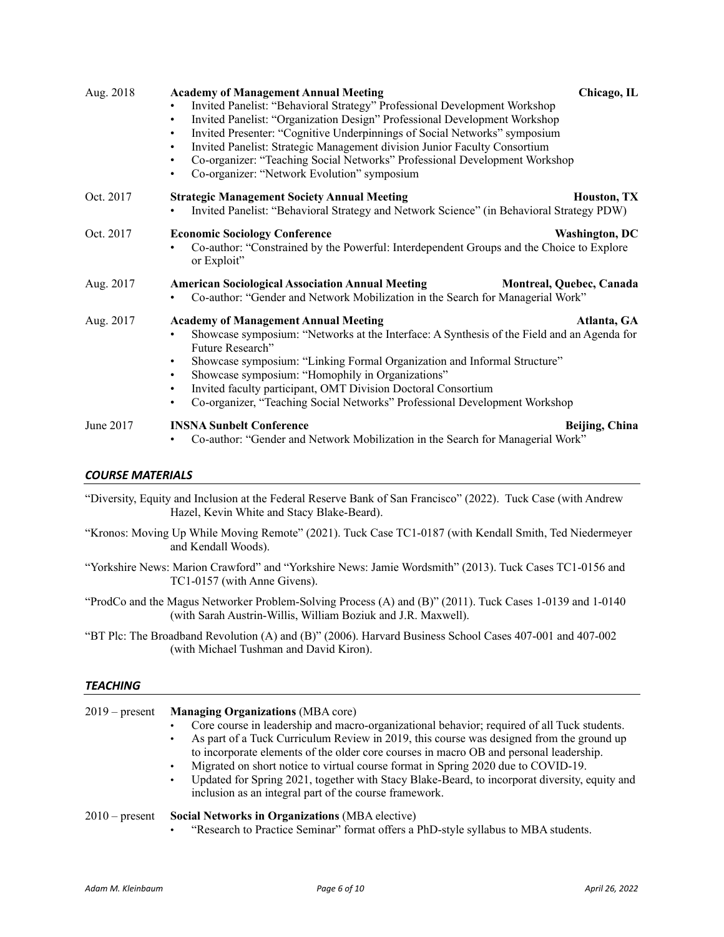| Aug. 2018 | <b>Academy of Management Annual Meeting</b><br>Chicago, IL<br>Invited Panelist: "Behavioral Strategy" Professional Development Workshop<br>Invited Panelist: "Organization Design" Professional Development Workshop<br>$\bullet$<br>Invited Presenter: "Cognitive Underpinnings of Social Networks" symposium<br>$\bullet$<br>Invited Panelist: Strategic Management division Junior Faculty Consortium<br>$\bullet$<br>Co-organizer: "Teaching Social Networks" Professional Development Workshop<br>٠<br>Co-organizer: "Network Evolution" symposium<br>٠ |  |
|-----------|--------------------------------------------------------------------------------------------------------------------------------------------------------------------------------------------------------------------------------------------------------------------------------------------------------------------------------------------------------------------------------------------------------------------------------------------------------------------------------------------------------------------------------------------------------------|--|
| Oct. 2017 | <b>Strategic Management Society Annual Meeting</b><br>Houston, TX<br>Invited Panelist: "Behavioral Strategy and Network Science" (in Behavioral Strategy PDW)                                                                                                                                                                                                                                                                                                                                                                                                |  |
| Oct. 2017 | <b>Economic Sociology Conference</b><br>Washington, DC<br>Co-author: "Constrained by the Powerful: Interdependent Groups and the Choice to Explore<br>or Exploit"                                                                                                                                                                                                                                                                                                                                                                                            |  |
| Aug. 2017 | <b>American Sociological Association Annual Meeting</b><br>Montreal, Quebec, Canada<br>Co-author: "Gender and Network Mobilization in the Search for Managerial Work"                                                                                                                                                                                                                                                                                                                                                                                        |  |
| Aug. 2017 | <b>Academy of Management Annual Meeting</b><br>Atlanta, GA<br>Showcase symposium: "Networks at the Interface: A Synthesis of the Field and an Agenda for<br>Future Research"<br>Showcase symposium: "Linking Formal Organization and Informal Structure"<br>$\bullet$<br>Showcase symposium: "Homophily in Organizations"<br>$\bullet$<br>Invited faculty participant, OMT Division Doctoral Consortium<br>$\bullet$<br>Co-organizer, "Teaching Social Networks" Professional Development Workshop                                                           |  |
| June 2017 | <b>INSNA Sunbelt Conference</b><br>Beijing, China<br>Co-author: "Gender and Network Mobilization in the Search for Managerial Work"                                                                                                                                                                                                                                                                                                                                                                                                                          |  |

## *COURSE MATERIALS*

"Diversity, Equity and Inclusion at the Federal Reserve Bank of San Francisco" (2022). Tuck Case (with Andrew Hazel, Kevin White and Stacy Blake-Beard).

- "Kronos: Moving Up While Moving Remote" (2021). Tuck Case TC1-0187 (with Kendall Smith, Ted Niedermeyer and Kendall Woods).
- "Yorkshire News: Marion Crawford" and "Yorkshire News: Jamie Wordsmith" (2013). Tuck Cases TC1-0156 and TC1-0157 (with Anne Givens).

"ProdCo and the Magus Networker Problem-Solving Process (A) and (B)" (2011). Tuck Cases 1-0139 and 1-0140 (with Sarah Austrin-Willis, William Boziuk and J.R. Maxwell).

"BT Plc: The Broadband Revolution (A) and (B)" (2006). Harvard Business School Cases 407-001 and 407-002 (with Michael Tushman and David Kiron).

## *TEACHING*

| $2019$ – present | <b>Managing Organizations (MBA core)</b><br>Core course in leadership and macro-organizational behavior; required of all Tuck students.<br>As part of a Tuck Curriculum Review in 2019, this course was designed from the ground up<br>to incorporate elements of the older core courses in macro OB and personal leadership.<br>Migrated on short notice to virtual course format in Spring 2020 due to COVID-19.<br>$\bullet$<br>Updated for Spring 2021, together with Stacy Blake-Beard, to incorporat diversity, equity and<br>$\bullet$<br>inclusion as an integral part of the course framework. |
|------------------|---------------------------------------------------------------------------------------------------------------------------------------------------------------------------------------------------------------------------------------------------------------------------------------------------------------------------------------------------------------------------------------------------------------------------------------------------------------------------------------------------------------------------------------------------------------------------------------------------------|
| $2010$ – present | Social Networks in Organizations (MBA elective)<br>"Research to Practice Seminar" format offers a PhD-style syllabus to MBA students.<br>$\bullet$                                                                                                                                                                                                                                                                                                                                                                                                                                                      |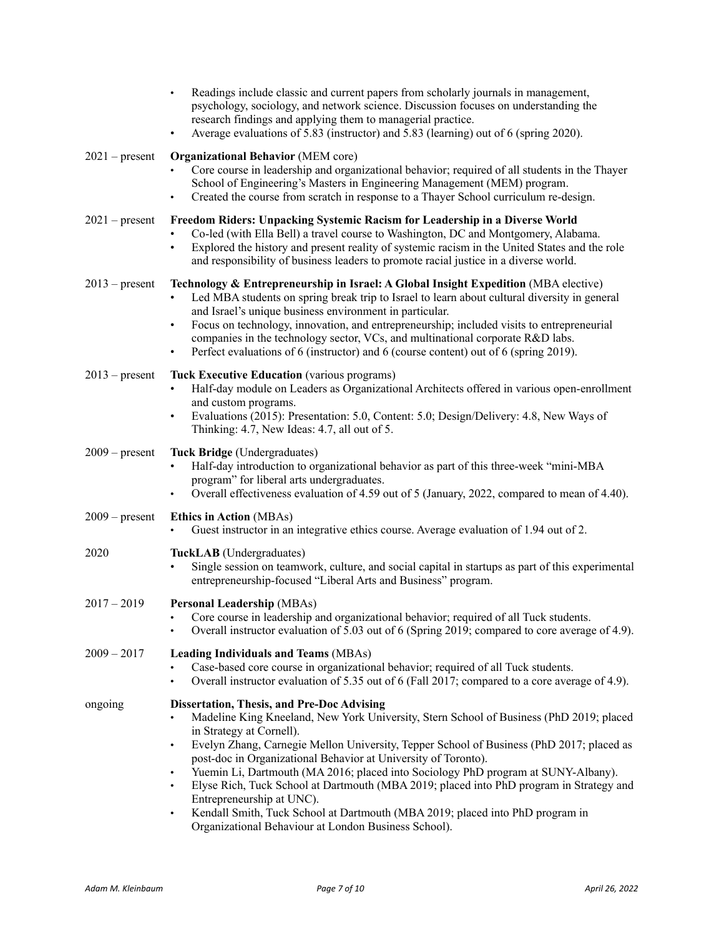|                  | Readings include classic and current papers from scholarly journals in management,<br>psychology, sociology, and network science. Discussion focuses on understanding the<br>research findings and applying them to managerial practice.<br>Average evaluations of 5.83 (instructor) and 5.83 (learning) out of 6 (spring 2020).<br>$\bullet$                                                                                                                                                                                                                                                                                                                                                                                       |  |
|------------------|-------------------------------------------------------------------------------------------------------------------------------------------------------------------------------------------------------------------------------------------------------------------------------------------------------------------------------------------------------------------------------------------------------------------------------------------------------------------------------------------------------------------------------------------------------------------------------------------------------------------------------------------------------------------------------------------------------------------------------------|--|
| $2021$ – present | <b>Organizational Behavior (MEM core)</b><br>Core course in leadership and organizational behavior; required of all students in the Thayer<br>School of Engineering's Masters in Engineering Management (MEM) program.<br>Created the course from scratch in response to a Thayer School curriculum re-design.<br>$\bullet$                                                                                                                                                                                                                                                                                                                                                                                                         |  |
| $2021$ – present | Freedom Riders: Unpacking Systemic Racism for Leadership in a Diverse World<br>Co-led (with Ella Bell) a travel course to Washington, DC and Montgomery, Alabama.<br>Explored the history and present reality of systemic racism in the United States and the role<br>$\bullet$<br>and responsibility of business leaders to promote racial justice in a diverse world.                                                                                                                                                                                                                                                                                                                                                             |  |
| $2013$ – present | Technology & Entrepreneurship in Israel: A Global Insight Expedition (MBA elective)<br>Led MBA students on spring break trip to Israel to learn about cultural diversity in general<br>$\bullet$<br>and Israel's unique business environment in particular.<br>Focus on technology, innovation, and entrepreneurship; included visits to entrepreneurial<br>$\bullet$<br>companies in the technology sector, VCs, and multinational corporate R&D labs.<br>Perfect evaluations of 6 (instructor) and 6 (course content) out of 6 (spring 2019).<br>$\bullet$                                                                                                                                                                        |  |
| $2013$ – present | <b>Tuck Executive Education</b> (various programs)<br>Half-day module on Leaders as Organizational Architects offered in various open-enrollment<br>and custom programs.<br>Evaluations (2015): Presentation: 5.0, Content: 5.0; Design/Delivery: 4.8, New Ways of<br>$\bullet$<br>Thinking: 4.7, New Ideas: 4.7, all out of 5.                                                                                                                                                                                                                                                                                                                                                                                                     |  |
| $2009$ – present | Tuck Bridge (Undergraduates)<br>Half-day introduction to organizational behavior as part of this three-week "mini-MBA<br>program" for liberal arts undergraduates.<br>Overall effectiveness evaluation of 4.59 out of 5 (January, 2022, compared to mean of 4.40).                                                                                                                                                                                                                                                                                                                                                                                                                                                                  |  |
| $2009$ – present | <b>Ethics in Action (MBAs)</b><br>Guest instructor in an integrative ethics course. Average evaluation of 1.94 out of 2.                                                                                                                                                                                                                                                                                                                                                                                                                                                                                                                                                                                                            |  |
| 2020             | TuckLAB (Undergraduates)<br>Single session on teamwork, culture, and social capital in startups as part of this experimental<br>$\bullet$<br>entrepreneurship-focused "Liberal Arts and Business" program.                                                                                                                                                                                                                                                                                                                                                                                                                                                                                                                          |  |
| $2017 - 2019$    | <b>Personal Leadership (MBAs)</b><br>Core course in leadership and organizational behavior; required of all Tuck students.<br>Overall instructor evaluation of 5.03 out of 6 (Spring 2019; compared to core average of 4.9).                                                                                                                                                                                                                                                                                                                                                                                                                                                                                                        |  |
| $2009 - 2017$    | <b>Leading Individuals and Teams (MBAs)</b><br>Case-based core course in organizational behavior; required of all Tuck students.<br>Overall instructor evaluation of 5.35 out of 6 (Fall 2017; compared to a core average of 4.9).<br>$\bullet$                                                                                                                                                                                                                                                                                                                                                                                                                                                                                     |  |
| ongoing          | <b>Dissertation, Thesis, and Pre-Doc Advising</b><br>Madeline King Kneeland, New York University, Stern School of Business (PhD 2019; placed<br>in Strategy at Cornell).<br>Evelyn Zhang, Carnegie Mellon University, Tepper School of Business (PhD 2017; placed as<br>$\bullet$<br>post-doc in Organizational Behavior at University of Toronto).<br>Yuemin Li, Dartmouth (MA 2016; placed into Sociology PhD program at SUNY-Albany).<br>$\bullet$<br>Elyse Rich, Tuck School at Dartmouth (MBA 2019; placed into PhD program in Strategy and<br>Entrepreneurship at UNC).<br>Kendall Smith, Tuck School at Dartmouth (MBA 2019; placed into PhD program in<br>$\bullet$<br>Organizational Behaviour at London Business School). |  |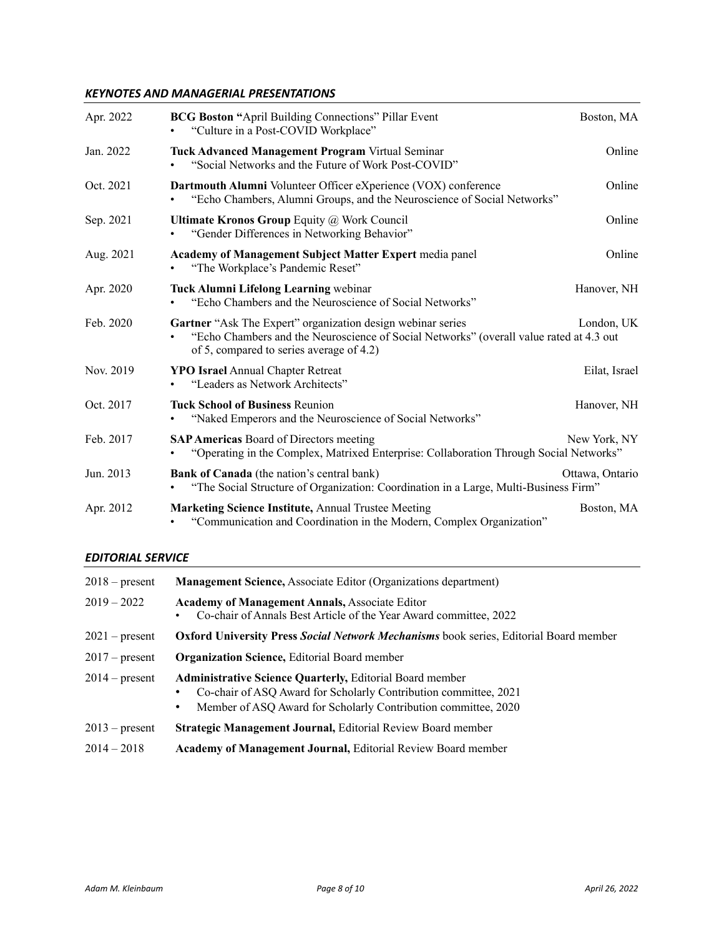# *KEYNOTES AND MANAGERIAL PRESENTATIONS*

| Apr. 2022 | <b>BCG Boston "April Building Connections" Pillar Event</b><br>"Culture in a Post-COVID Workplace"                                                                                                 | Boston, MA      |
|-----------|----------------------------------------------------------------------------------------------------------------------------------------------------------------------------------------------------|-----------------|
| Jan. 2022 | <b>Tuck Advanced Management Program Virtual Seminar</b><br>"Social Networks and the Future of Work Post-COVID"                                                                                     | Online          |
| Oct. 2021 | Dartmouth Alumni Volunteer Officer eXperience (VOX) conference<br>"Echo Chambers, Alumni Groups, and the Neuroscience of Social Networks"                                                          | Online          |
| Sep. 2021 | <b>Ultimate Kronos Group Equity @ Work Council</b><br>"Gender Differences in Networking Behavior"                                                                                                  | Online          |
| Aug. 2021 | Academy of Management Subject Matter Expert media panel<br>"The Workplace's Pandemic Reset"                                                                                                        | Online          |
| Apr. 2020 | Tuck Alumni Lifelong Learning webinar<br>"Echo Chambers and the Neuroscience of Social Networks"                                                                                                   | Hanover, NH     |
| Feb. 2020 | Gartner "Ask The Expert" organization design webinar series<br>"Echo Chambers and the Neuroscience of Social Networks" (overall value rated at 4.3 out<br>of 5, compared to series average of 4.2) | London, UK      |
| Nov. 2019 | <b>YPO Israel Annual Chapter Retreat</b><br>"Leaders as Network Architects"                                                                                                                        | Eilat, Israel   |
| Oct. 2017 | <b>Tuck School of Business Reunion</b><br>"Naked Emperors and the Neuroscience of Social Networks"                                                                                                 | Hanover, NH     |
| Feb. 2017 | <b>SAP Americas Board of Directors meeting</b><br>"Operating in the Complex, Matrixed Enterprise: Collaboration Through Social Networks"                                                           | New York, NY    |
| Jun. 2013 | <b>Bank of Canada</b> (the nation's central bank)<br>"The Social Structure of Organization: Coordination in a Large, Multi-Business Firm"                                                          | Ottawa, Ontario |
| Apr. 2012 | Marketing Science Institute, Annual Trustee Meeting<br>"Communication and Coordination in the Modern, Complex Organization"                                                                        | Boston, MA      |

# *EDITORIAL SERVICE*

| $2018$ – present | <b>Management Science, Associate Editor (Organizations department)</b>                                                                                                                                     |  |  |
|------------------|------------------------------------------------------------------------------------------------------------------------------------------------------------------------------------------------------------|--|--|
| $2019 - 2022$    | <b>Academy of Management Annals, Associate Editor</b><br>Co-chair of Annals Best Article of the Year Award committee, 2022                                                                                 |  |  |
| $2021$ – present | <b>Oxford University Press Social Network Mechanisms</b> book series, Editorial Board member                                                                                                               |  |  |
| $2017$ – present | <b>Organization Science, Editorial Board member</b>                                                                                                                                                        |  |  |
| $2014$ – present | <b>Administrative Science Quarterly, Editorial Board member</b><br>Co-chair of ASQ Award for Scholarly Contribution committee, 2021<br>Member of ASQ Award for Scholarly Contribution committee, 2020<br>٠ |  |  |
| $2013$ – present | <b>Strategic Management Journal, Editorial Review Board member</b>                                                                                                                                         |  |  |
| $2014 - 2018$    | <b>Academy of Management Journal, Editorial Review Board member</b>                                                                                                                                        |  |  |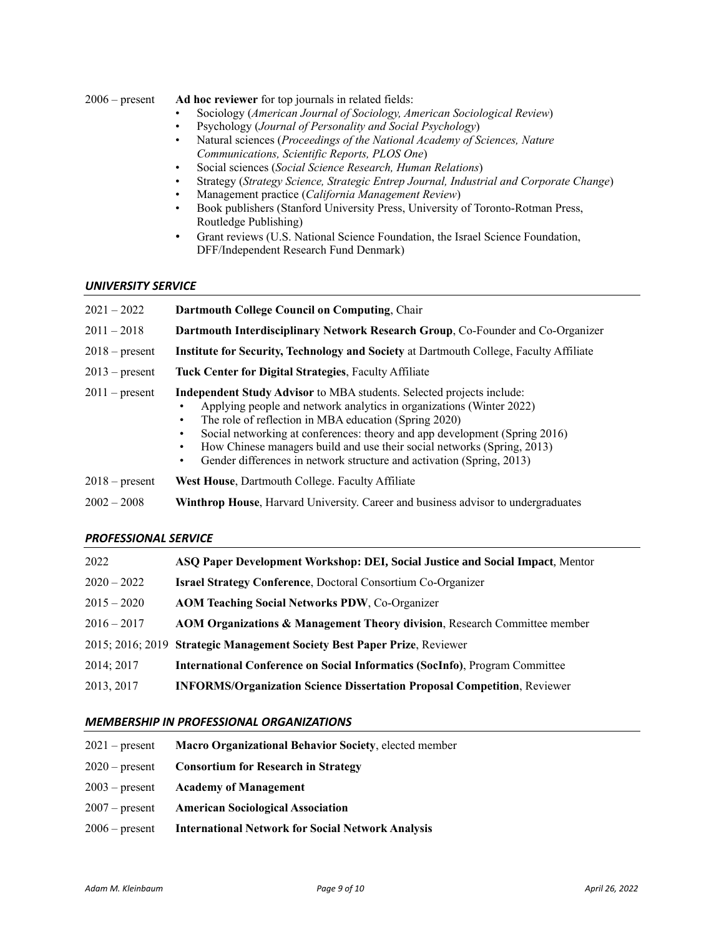### 2006 – present **Ad hoc reviewer** for top journals in related fields:

- Sociology (*American Journal of Sociology, American Sociological Review*)
- Psychology (*Journal of Personality and Social Psychology*)
- Natural sciences (*Proceedings of the National Academy of Sciences, Nature Communications, Scientific Reports, PLOS One*)
- Social sciences (*Social Science Research, Human Relations*)
- Strategy (*Strategy Science, Strategic Entrep Journal, Industrial and Corporate Change*)
- Management practice (*California Management Review*)
- Book publishers (Stanford University Press, University of Toronto-Rotman Press, Routledge Publishing)
- Grant reviews (U.S. National Science Foundation, the Israel Science Foundation, DFF/Independent Research Fund Denmark)

## *UNIVERSITY SERVICE*

| $2021 - 2022$    | Dartmouth College Council on Computing, Chair                                                                                                                                                                                                                                                                                                                                                                                                                |  |  |
|------------------|--------------------------------------------------------------------------------------------------------------------------------------------------------------------------------------------------------------------------------------------------------------------------------------------------------------------------------------------------------------------------------------------------------------------------------------------------------------|--|--|
| $2011 - 2018$    | Dartmouth Interdisciplinary Network Research Group, Co-Founder and Co-Organizer                                                                                                                                                                                                                                                                                                                                                                              |  |  |
| $2018$ – present | Institute for Security, Technology and Society at Dartmouth College, Faculty Affiliate                                                                                                                                                                                                                                                                                                                                                                       |  |  |
| $2013$ – present | Tuck Center for Digital Strategies, Faculty Affiliate                                                                                                                                                                                                                                                                                                                                                                                                        |  |  |
| $2011$ – present | <b>Independent Study Advisor</b> to MBA students. Selected projects include:<br>Applying people and network analytics in organizations (Winter 2022)<br>The role of reflection in MBA education (Spring 2020)<br>Social networking at conferences: theory and app development (Spring 2016)<br>How Chinese managers build and use their social networks (Spring, 2013)<br>Gender differences in network structure and activation (Spring, 2013)<br>$\bullet$ |  |  |
| $2018$ – present | <b>West House, Dartmouth College. Faculty Affiliate</b>                                                                                                                                                                                                                                                                                                                                                                                                      |  |  |
| $2002 - 2008$    | <b>Winthrop House, Harvard University. Career and business advisor to undergraduates</b>                                                                                                                                                                                                                                                                                                                                                                     |  |  |

## *PROFESSIONAL SERVICE*

| 2022          | ASQ Paper Development Workshop: DEI, Social Justice and Social Impact, Mentor        |
|---------------|--------------------------------------------------------------------------------------|
| $2020 - 2022$ | <b>Israel Strategy Conference, Doctoral Consortium Co-Organizer</b>                  |
| $2015 - 2020$ | <b>AOM Teaching Social Networks PDW, Co-Organizer</b>                                |
| $2016 - 2017$ | <b>AOM Organizations &amp; Management Theory division, Research Committee member</b> |
|               | 2015; 2016; 2019 Strategic Management Society Best Paper Prize, Reviewer             |
| 2014; 2017    | <b>International Conference on Social Informatics (SocInfo), Program Committee</b>   |
| 2013, 2017    | <b>INFORMS/Organization Science Dissertation Proposal Competition, Reviewer</b>      |

### *MEMBERSHIP IN PROFESSIONAL ORGANIZATIONS*

| $2021$ – present | <b>Macro Organizational Behavior Society, elected member</b>     |
|------------------|------------------------------------------------------------------|
|                  | $2020$ – present Consortium for Research in Strategy             |
|                  | $2003$ – present Academy of Management                           |
|                  | 2007 – present American Sociological Association                 |
|                  | 2006 – present International Network for Social Network Analysis |